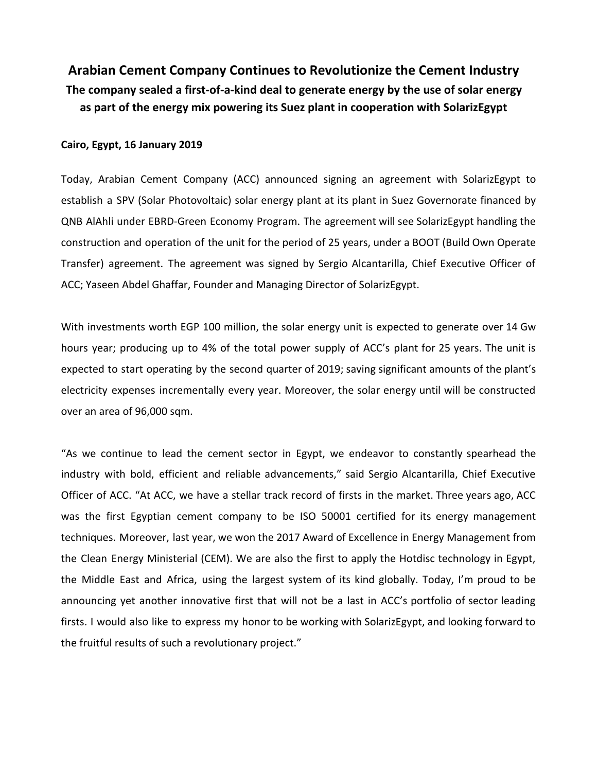**Arabian Cement Company Continues to Revolutionize the Cement Industry The company sealed a first-of-a-kind deal to generate energy by the use of solar energy as part of the energy mix powering its Suez plant in cooperation with SolarizEgypt**

## **Cairo, Egypt, 16 January 2019**

Today, Arabian Cement Company (ACC) announced signing an agreement with SolarizEgypt to establish a SPV (Solar Photovoltaic) solar energy plant at its plant in Suez Governorate financed by QNB AlAhli under EBRD-Green Economy Program. The agreement will see SolarizEgypt handling the construction and operation of the unit for the period of 25 years, under a BOOT (Build Own Operate Transfer) agreement. The agreement was signed by Sergio Alcantarilla, Chief Executive Officer of ACC; Yaseen Abdel Ghaffar, Founder and Managing Director of SolarizEgypt.

With investments worth EGP 100 million, the solar energy unit is expected to generate over 14 Gw hours year; producing up to 4% of the total power supply of ACC's plant for 25 years. The unit is expected to start operating by the second quarter of 2019; saving significant amounts of the plant's electricity expenses incrementally every year. Moreover, the solar energy until will be constructed over an area of 96,000 sqm.

"As we continue to lead the cement sector in Egypt, we endeavor to constantly spearhead the industry with bold, efficient and reliable advancements," said Sergio Alcantarilla, Chief Executive Officer of ACC. "At ACC, we have a stellar track record of firsts in the market. Three years ago, ACC was the first Egyptian cement company to be ISO 50001 certified for its energy management techniques. Moreover, last year, we won the 2017 Award of Excellence in Energy Management from the Clean Energy Ministerial (CEM). We are also the first to apply the Hotdisc technology in Egypt, the Middle East and Africa, using the largest system of its kind globally. Today, I'm proud to be announcing yet another innovative first that will not be a last in ACC's portfolio of sector leading firsts. I would also like to express my honor to be working with SolarizEgypt, and looking forward to the fruitful results of such a revolutionary project."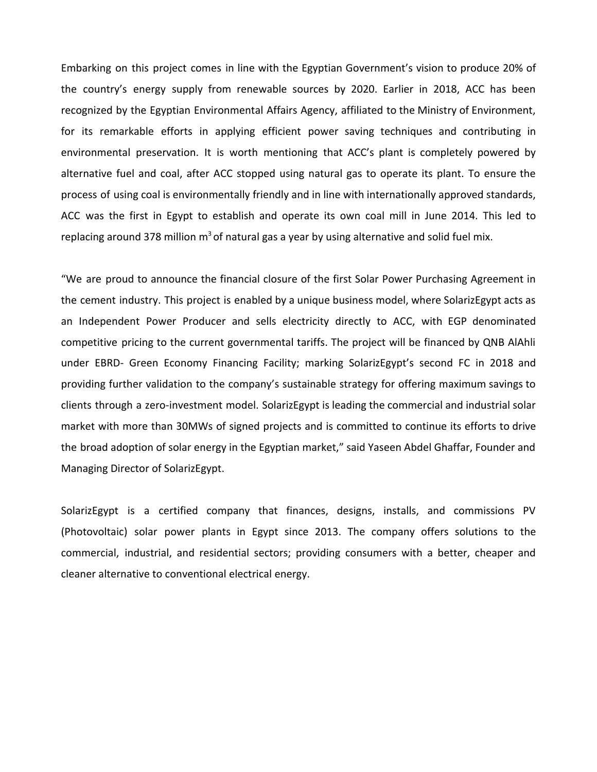Embarking on this project comes in line with the Egyptian Government's vision to produce 20% of the country's energy supply from renewable sources by 2020. Earlier in 2018, ACC has been recognized by the Egyptian Environmental Affairs Agency, affiliated to the Ministry of Environment, for its remarkable efforts in applying efficient power saving techniques and contributing in environmental preservation. It is worth mentioning that ACC's plant is completely powered by alternative fuel and coal, after ACC stopped using natural gas to operate its plant. To ensure the process of using coal is environmentally friendly and in line with internationally approved standards, ACC was the first in Egypt to establish and operate its own coal mill in June 2014. This led to replacing around 378 million  $m<sup>3</sup>$  of natural gas a year by using alternative and solid fuel mix.

"We are proud to announce the financial closure of the first Solar Power Purchasing Agreement in the cement industry. This project is enabled by a unique business model, where SolarizEgypt acts as an Independent Power Producer and sells electricity directly to ACC, with EGP denominated competitive pricing to the current governmental tariffs. The project will be financed by QNB AlAhli under EBRD- Green Economy Financing Facility; marking SolarizEgypt's second FC in 2018 and providing further validation to the company's sustainable strategy for offering maximum savings to clients through a zero-investment model. SolarizEgypt is leading the commercial and industrial solar market with more than 30MWs of signed projects and is committed to continue its efforts to drive the broad adoption of solar energy in the Egyptian market," said Yaseen Abdel Ghaffar, Founder and Managing Director of SolarizEgypt.

SolarizEgypt is a certified company that finances, designs, installs, and commissions PV (Photovoltaic) solar power plants in Egypt since 2013. The company offers solutions to the commercial, industrial, and residential sectors; providing consumers with a better, cheaper and cleaner alternative to conventional electrical energy.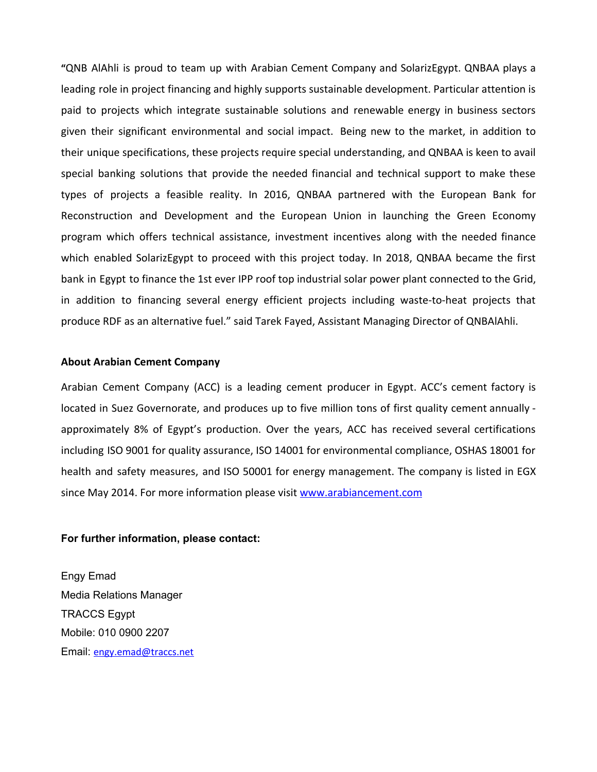**"**QNB AlAhli is proud to team up with Arabian Cement Company and SolarizEgypt. QNBAA plays a leading role in project financing and highly supports sustainable development. Particular attention is paid to projects which integrate sustainable solutions and renewable energy in business sectors given their significant environmental and social impact. Being new to the market, in addition to their unique specifications, these projects require special understanding, and QNBAA is keen to avail special banking solutions that provide the needed financial and technical support to make these types of projects a feasible reality. In 2016, QNBAA partnered with the European Bank for Reconstruction and Development and the European Union in launching the Green Economy program which offers technical assistance, investment incentives along with the needed finance which enabled SolarizEgypt to proceed with this project today. In 2018, QNBAA became the first bank in Egypt to finance the 1st ever IPP roof top industrial solar power plant connected to the Grid, in addition to financing several energy efficient projects including waste-to-heat projects that produce RDF as an alternative fuel." said Tarek Fayed, Assistant Managing Director of QNBAlAhli.

## **About Arabian Cement Company**

Arabian Cement Company (ACC) is a leading cement producer in Egypt. ACC's cement factory is located in Suez Governorate, and produces up to five million tons of first quality cement annually approximately 8% of Egypt's production. Over the years, ACC has received several certifications including ISO 9001 for quality assurance, ISO 14001 for environmental compliance, OSHAS 18001 for health and safety measures, and ISO 50001 for energy management. The company is listed in EGX since May 2014. For more information please visit [www.arabiancement.com](http://www.arabiancement.com/)

## **For further information, please contact:**

Engy Emad Media Relations Manager TRACCS Egypt Mobile: 010 0900 2207 Email: [engy.emad@traccs.net](mailto:engy.emad@traccs.net)